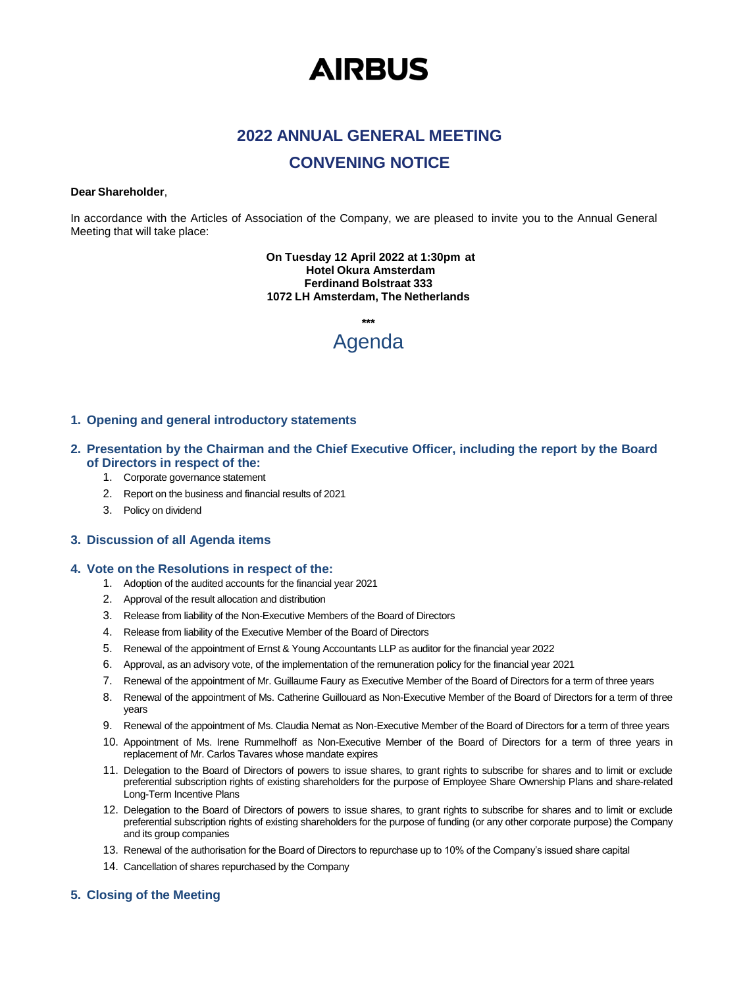# **AIRBUS**

## **2022 ANNUAL GENERAL MEETING**

### **CONVENING NOTICE**

#### **Dear Shareholder**,

In accordance with the Articles of Association of the Company, we are pleased to invite you to the Annual General Meeting that will take place:

> **On Tuesday 12 April 2022 at 1:30pm at Hotel Okura Amsterdam Ferdinand Bolstraat 333 1072 LH Amsterdam, The Netherlands**

> > **\*\*\***

# Agenda

#### **1. Opening and general introductory statements**

#### **2. Presentation by the Chairman and the Chief Executive Officer, including the report by the Board of Directors in respect of the:**

- 1. Corporate governance statement
- 2. Report on the business and financial results of 2021
- 3. Policy on dividend

#### **3. Discussion of all Agenda items**

#### **4. Vote on the Resolutions in respect of the:**

- 1. Adoption of the audited accounts for the financial year 2021
- 2. Approval of the result allocation and distribution
- 3. Release from liability of the Non-Executive Members of the Board of Directors
- 4. Release from liability of the Executive Member of the Board of Directors
- 5. Renewal of the appointment of Ernst & Young Accountants LLP as auditor for the financial year 2022
- 6. Approval, as an advisory vote, of the implementation of the remuneration policy for the financial year 2021
- 7. Renewal of the appointment of Mr. Guillaume Faury as Executive Member of the Board of Directors for a term of three years
- 8. Renewal of the appointment of Ms. Catherine Guillouard as Non-Executive Member of the Board of Directors for a term of three years
- 9. Renewal of the appointment of Ms. Claudia Nemat as Non-Executive Member of the Board of Directors for a term of three years
- 10. Appointment of Ms. Irene Rummelhoff as Non-Executive Member of the Board of Directors for a term of three years in replacement of Mr. Carlos Tavares whose mandate expires
- 11. Delegation to the Board of Directors of powers to issue shares, to grant rights to subscribe for shares and to limit or exclude preferential subscription rights of existing shareholders for the purpose of Employee Share Ownership Plans and share-related Long-Term Incentive Plans
- 12. Delegation to the Board of Directors of powers to issue shares, to grant rights to subscribe for shares and to limit or exclude preferential subscription rights of existing shareholders for the purpose of funding (or any other corporate purpose) the Company and its group companies
- 13. Renewal of the authorisation for the Board of Directors to repurchase up to 10% of the Company's issued share capital
- 14. Cancellation of shares repurchased by the Company

#### **5. Closing of the Meeting**